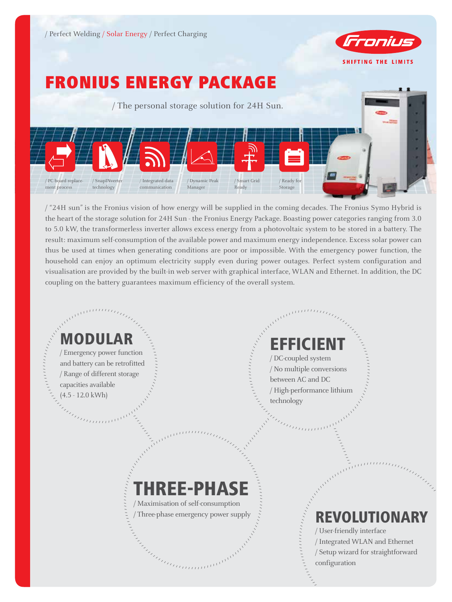

# FRONIUS ENERGY PACKAGE

/ The personal storage solution for 24H Sun. / Dynamic Peak Manager / Integrated data communication / PC board replacement process / Smart Grid **Ready** / SnapINverter technology / Ready for Storage

/ "24H sun" is the Fronius vision of how energy will be supplied in the coming decades. The Fronius Symo Hybrid is the heart of the storage solution for 24H Sun - the Fronius Energy Package. Boasting power categories ranging from 3.0 to 5.0 kW, the transformerless inverter allows excess energy from a photovoltaic system to be stored in a battery. The result: maximum self-consumption of the available power and maximum energy independence. Excess solar power can thus be used at times when generating conditions are poor or impossible. With the emergency power function, the household can enjoy an optimum electricity supply even during power outages. Perfect system configuration and visualisation are provided by the built-in web server with graphical interface, WLAN and Ethernet. In addition, the DC coupling on the battery guarantees maximum efficiency of the overall system.

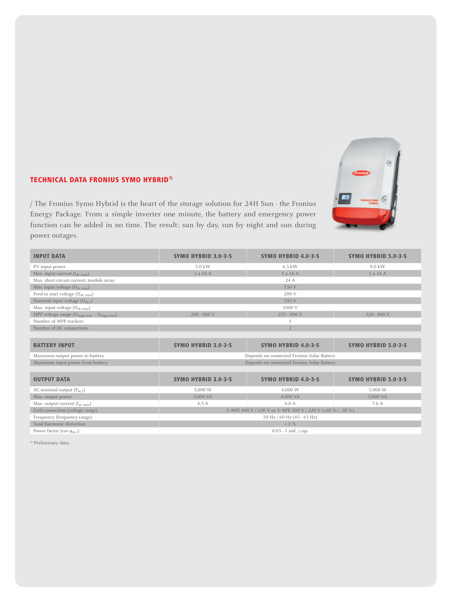

### TECHNICAL DATA FRONIUS SYMO HYBRID1)

/ The Fronius Symo Hybrid is the heart of the storage solution for 24H Sun - the Fronius Energy Package. From a simple inverter one minute, the battery and emergency power function can be added in no time. The result: sun by day, sun by night and sun during power outages.

| <b>INPUT DATA</b>                                 | <b>SYMO HYBRID 3.0-3-S</b>                                 | <b>SYMO HYBRID 4.0-3-S</b> | <b>SYMO HYBRID 5.0-3-S</b> |  |  |
|---------------------------------------------------|------------------------------------------------------------|----------------------------|----------------------------|--|--|
| PV input power                                    | 5.0 kW                                                     | $6.5$ kW                   | 8.0 kW                     |  |  |
| Max. input current (I <sub>dc max</sub> )         | $1 \times 16$ A                                            | $1 \times 16$ A            | $1 \times 16$ A            |  |  |
| Max. short circuit current, module array          | 24 A                                                       |                            |                            |  |  |
| Min. input voltage $(U_{dc,min})$                 | 150 V                                                      |                            |                            |  |  |
| Feed-in start voltage (U <sub>dc start</sub> )    | 200 V                                                      |                            |                            |  |  |
| Nominal input voltage (U <sub>dc.r</sub> )        | 595 V                                                      |                            |                            |  |  |
| Max. input voltage $(U_{dc\ max})$                | 1000 V                                                     |                            |                            |  |  |
| MPP voltage range $(U_{mpp\ min} - U_{mpp\ max})$ | $200 - 800$ V                                              | 255 - 800 V                | 320 - 800 V                |  |  |
| Number of MPP trackers                            |                                                            |                            |                            |  |  |
| Number of DC connections                          | $\overline{2}$                                             |                            |                            |  |  |
|                                                   |                                                            |                            |                            |  |  |
| <b>BATTERY INPUT</b>                              | <b>SYMO HYBRID 3.0-3-S</b>                                 | <b>SYMO HYBRID 4.0-3-S</b> | <b>SYMO HYBRID 5.0-3-S</b> |  |  |
| Maximum output power to battery                   | Depends on connected Fronius Solar Battery                 |                            |                            |  |  |
| Maximum input power from battery                  | Depends on connected Fronius Solar Battery                 |                            |                            |  |  |
|                                                   |                                                            |                            |                            |  |  |
| <b>OUTPUT DATA</b>                                | <b>SYMO HYBRID 3.0-3-S</b>                                 | <b>SYMO HYBRID 4.0-3-S</b> | <b>SYMO HYBRID 5.0-3-S</b> |  |  |
| AC nominal output $(P_{ac,r})$                    | 3,000 W                                                    | 4,000 W                    | 5,000 W                    |  |  |
| Max. output power                                 | 3,000 VA                                                   | 4,000 VA                   | 5,000 VA                   |  |  |
| Max. output current (I <sub>ac max</sub> )        | 4.5 A                                                      | 6.0A                       | 7.6 A                      |  |  |
| Grid connection (voltage range)                   | 3~NPE 400 V / 230 V or 3~NPE 380 V / 220 V (+20 % / -30 %) |                            |                            |  |  |
| Frequency (frequency range)                       | 50 Hz / 60 Hz (45 - 65 Hz)                                 |                            |                            |  |  |
| Total harmonic distortion                         | $< 3 \%$                                                   |                            |                            |  |  |
| Power factor (cos $\varphi_{ac,r}$ )              | $0.85 - 1$ ind. $\frac{1}{2}$ cap.                         |                            |                            |  |  |

<sup>1)</sup> Preliminary data.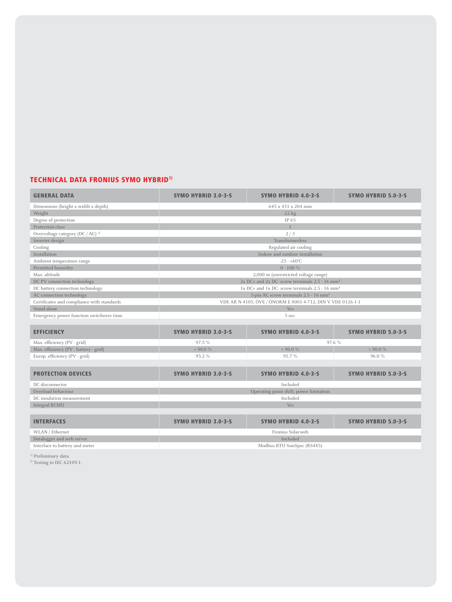# TECHNICAL DATA FRONIUS SYMO HYBRID1)

| <b>GENERAL DATA</b>                          | <b>SYMO HYBRID 3.0-3-S</b>                                       | <b>SYMO HYBRID 4.0-3-S</b>      | <b>SYMO HYBRID 5.0-3-S</b> |  |
|----------------------------------------------|------------------------------------------------------------------|---------------------------------|----------------------------|--|
| Dimensions (height x width x depth)          |                                                                  | 645 x 431 x 204 mm              |                            |  |
| Weight                                       | $22$ kg                                                          |                                 |                            |  |
| Degree of protection                         | IP 65                                                            |                                 |                            |  |
| Protection class                             |                                                                  | $\overline{1}$                  |                            |  |
| Overvoltage category (DC / AC) <sup>2)</sup> |                                                                  | 2/3                             |                            |  |
| Inverter design                              | Transformerless                                                  |                                 |                            |  |
| Cooling                                      | Regulated air cooling                                            |                                 |                            |  |
| Installation                                 |                                                                  | Indoor and outdoor installation |                            |  |
| Ambient temperature range                    |                                                                  | $-25 - +60^{\circ}C$            |                            |  |
| Permitted humidity                           |                                                                  | $0 - 100 \%$                    |                            |  |
| Max. altitude                                | 2,000 m (unrestricted voltage range)                             |                                 |                            |  |
| DC PV connection technology                  | $2x$ DC+ and $2x$ DC- screw terminals $2.5 - 16$ mm <sup>2</sup> |                                 |                            |  |
| DC battery connection technology             | $1x$ DC+ and $1x$ DC- screw terminals $2.5 - 16$ mm <sup>2</sup> |                                 |                            |  |
| AC connection technology                     | 5-pin AC screw terminals 2.5 - 16 mm <sup>2</sup>                |                                 |                            |  |
| Certificates and compliance with standards   | VDE AR N 4105, ÖVE / ÖNORM E 8001-4-712, DIN V VDE 0126-1-1      |                                 |                            |  |
| Stand-alone                                  | Yes                                                              |                                 |                            |  |
| Emergency power function switchover time     | 5 sec.                                                           |                                 |                            |  |
|                                              |                                                                  |                                 |                            |  |
| <b>EFFICIENCY</b>                            | <b>SYMO HYBRID 3.0-3-S</b>                                       | <b>SYMO HYBRID 4.0-3-S</b>      | <b>SYMO HYBRID 5.0-3-S</b> |  |
| Max. efficiency (PV - grid)                  | 97.5%<br>97.6 %                                                  |                                 |                            |  |
| Max. efficiency (PV - battery - grid)        | $> 90.0 \%$<br>$> 90.0 \%$<br>$> 90.0 \%$                        |                                 |                            |  |
| Europ. efficiency (PV - grid)                | 95.2%<br>95.7%                                                   |                                 | 96.0%                      |  |
|                                              |                                                                  |                                 |                            |  |
| <b>PROTECTION DEVICES</b>                    | <b>SYMO HYBRID 3.0-3-S</b>                                       | <b>SYMO HYBRID 4.0-3-S</b>      | <b>SYMO HYBRID 5.0-3-S</b> |  |
| DC disconnector                              |                                                                  | Included                        |                            |  |
| Overload behaviour                           | Operating point shift, power limitation                          |                                 |                            |  |
| DC insulation measurement                    | Included                                                         |                                 |                            |  |
| <b>Integral RCMU</b>                         | Yes                                                              |                                 |                            |  |
|                                              |                                                                  |                                 |                            |  |
| <b>INTERFACES</b>                            | <b>SYMO HYBRID 3.0-3-S</b>                                       | <b>SYMO HYBRID 4.0-3-S</b>      | <b>SYMO HYBRID 5.0-3-S</b> |  |
| WLAN / Ethernet                              |                                                                  | Fronius Solar.web               |                            |  |
| Datalogger and web server                    | Included                                                         |                                 |                            |  |
| Interface to battery and meter               | Modbus RTU SunSpec (RS485)                                       |                                 |                            |  |

<sup>1)</sup> Preliminary data.

 $2)$  Testing to IEC 62109-1.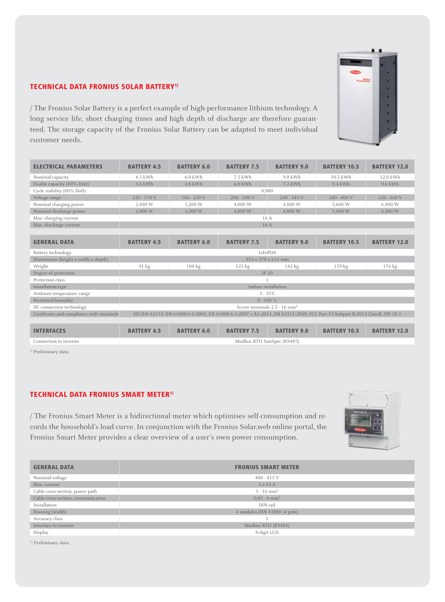

#### TECHNICAL DATA FRONIUS SOLAR BATTERY1)

/ The Fronius Solar Battery is a perfect example of high-performance lithium technology. A long service life, short charging times and high depth of discharge are therefore guaranteed. The storage capacity of the Fronius Solar Battery can be adapted to meet individual customer needs.

| <b>ELECTRICAL PARAMETERS</b>               | <b>BATTERY 4.5</b>                       | <b>BATTERY 6.0</b> | <b>BATTERY 7.5</b>         | <b>BATTERY 9.0</b>                                                                                                      | <b>BATTERY 10.5</b> | <b>BATTERY 12.0</b> |
|--------------------------------------------|------------------------------------------|--------------------|----------------------------|-------------------------------------------------------------------------------------------------------------------------|---------------------|---------------------|
| Nominal capacity                           | $4.5$ kWh                                | $6.0$ kWh          | 7.5 kWh                    | $9.0$ kWh                                                                                                               | $10.5$ kWh          | 12.0 kWh            |
| Usable capacity (80% DoD)                  | 3.6 kWh                                  | $4.8$ kWh          | $6.0$ kWh                  | 7.2 kWh                                                                                                                 | 8.4 kWh             | 9.6 kWh             |
| Cycle stability (80% DoD)                  |                                          |                    |                            | 8,000                                                                                                                   |                     |                     |
| Voltage range                              | 120 - 170 V                              | $160 - 230 V$      | $200 - 290V$               | 240 - 345 V                                                                                                             | 280 - 400 V         | $320 - 460$ V       |
| Nominal charging power                     | 2,400 W                                  | 3,200 W            | 4,000 W                    | 4,800 W                                                                                                                 | 5,600 W             | 6,400 W             |
| Nominal discharge power                    | 2,400 W                                  | 3,200 W            | 4,000 W                    | 4,800 W                                                                                                                 | 5.600 W             | 6,400 W             |
| Max. charging current                      |                                          |                    |                            | 16 A                                                                                                                    |                     |                     |
| Max. discharge current                     |                                          |                    |                            | 16A                                                                                                                     |                     |                     |
|                                            |                                          |                    |                            |                                                                                                                         |                     |                     |
| <b>GENERAL DATA</b>                        | <b>BATTERY 4.5</b>                       | <b>BATTERY 6.0</b> | <b>BATTERY 7.5</b>         | <b>BATTERY 9.0</b>                                                                                                      | <b>BATTERY 10.5</b> | <b>BATTERY 12.0</b> |
| Battery technology                         |                                          |                    | LiFePO4                    |                                                                                                                         |                     |                     |
| Dimensions (height x width x depth)        |                                          |                    | 955 x 570 x 611 mm         |                                                                                                                         |                     |                     |
| Weight                                     | $91 \text{ kg}$                          | $108 \text{ kg}$   | 125 kg                     | 142 kg                                                                                                                  | 159 kg              | 176 kg              |
| Degree of protection                       |                                          |                    |                            | <b>IP 20</b>                                                                                                            |                     |                     |
| Protection class                           |                                          |                    |                            |                                                                                                                         |                     |                     |
| Installation type                          | Indoor installation                      |                    |                            |                                                                                                                         |                     |                     |
| Ambient temperature range                  | $5 - 35^{\circ}C$                        |                    |                            |                                                                                                                         |                     |                     |
| Permitted humidity                         | $0 - 100 \%$                             |                    |                            |                                                                                                                         |                     |                     |
| DC connection technology                   | Screw terminals 2.5 - 16 mm <sup>2</sup> |                    |                            |                                                                                                                         |                     |                     |
| Certificates and compliance with standards |                                          |                    |                            | IEC/EN 62133; EN 61000-6-2:2005, EN 61000-6-3:2007 + A1:2011, EN 62311:2008, FCC Part 15 Subpart B:2012 ClassB, UN 38.3 |                     |                     |
|                                            |                                          |                    |                            |                                                                                                                         |                     |                     |
| <b>INTERFACES</b>                          | <b>BATTERY 4.5</b>                       | <b>BATTERY 6.0</b> | <b>BATTERY 7.5</b>         | <b>BATTERY 9.0</b>                                                                                                      | <b>BATTERY 10.5</b> | <b>BATTERY 12.0</b> |
| Connection to inverter                     |                                          |                    | Modbus RTU SunSpec (RS485) |                                                                                                                         |                     |                     |

<sup>1)</sup> Preliminary data.

# TECHNICAL DATA FRONIUS SMART METER1)

/ The Fronius Smart Meter is a bidirectional meter which optimises self-consumption and records the household's load curve. In conjunction with the Fronius Solar.web online portal, the Fronius Smart Meter provides a clear overview of a user's own power consumption.



| <b>GENERAL DATA</b>                | <b>FRONIUS SMART METER</b>   |
|------------------------------------|------------------------------|
| Nominal voltage                    | $400 - 415$ V                |
| Max. current                       | $3 \times 63$ A              |
| Cable cross-section, power path    | $1 - 16$ mm <sup>2</sup>     |
| Cable cross-section, communication | $0.05 - 4 \text{ mm}^2$      |
| Installation                       | DIN rail                     |
| Housing (width)                    | 4 modules DIN 43880 (4 pole) |
| Accuracy class                     |                              |
| Interface to inverter              | Modbus RTU (RS485)           |
| Display                            | 8-digit LCD                  |

<sup>1)</sup> Preliminary data.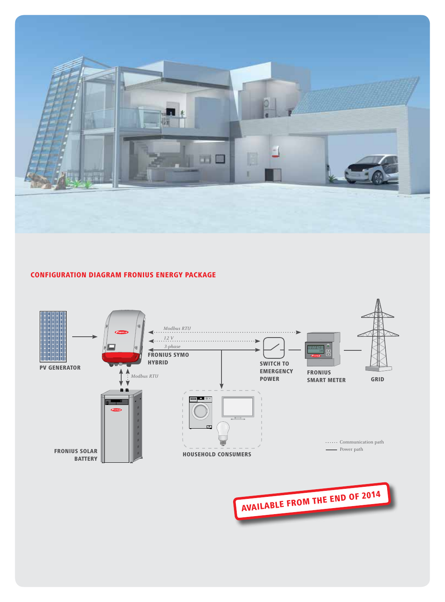

## CONFIGURATION DIAGRAM FRONIUS ENERGY PACKAGE



AVAILABLE FROM THE END OF 2014